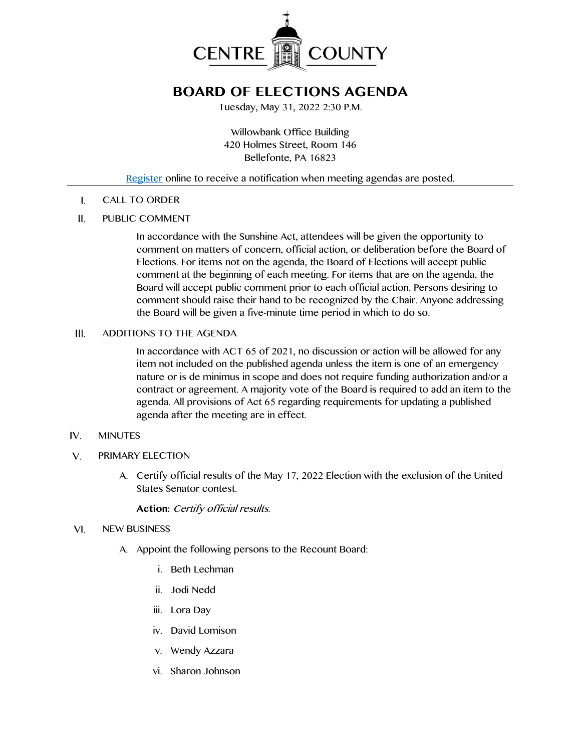

# **BOARD OF ELECTIONS AGENDA**

Tuesday, May 31, 2022 2:30 P.M.

Willowbank Office Building 420 Holmes Street, Room 146 Bellefonte, PA 16823

# [Register](http://www.centrecountypa.gov/AgendaCenter) online to receive a notification when meeting agendas are posted.

CALL TO ORDER  $\mathsf{L}$ 

#### $II.$ PUBLIC COMMENT

In accordance with the Sunshine Act, attendees will be given the opportunity to comment on matters of concern, official action, or deliberation before the Board of Elections. For items not on the agenda, the Board of Elections will accept public comment at the beginning of each meeting. For items that are on the agenda, the Board will accept public comment prior to each official action. Persons desiring to comment should raise their hand to be recognized by the Chair. Anyone addressing the Board will be given a five-minute time period in which to do so.

#### III. ADDITIONS TO THE AGENDA

In accordance with ACT 65 of 2021, no discussion or action will be allowed for any item not included on the published agenda unless the item is one of an emergency nature or is de minimus in scope and does not require funding authorization and/or a contract or agreement. A majority vote of the Board is required to add an item to the agenda. All provisions of Act 65 regarding requirements for updating a published agenda after the meeting are in effect.

#### $IV.$ MINUTES

- $V_{1}$ PRIMARY ELECTION
	- A. Certify official results of the May 17, 2022 Election with the exclusion of the United States Senator contest.

## **Action:** Certify official results.

#### $VI.$ NEW BUSINESS

- A. Appoint the following persons to the Recount Board:
	- i. Beth Lechman
	- ii. Jodi Nedd
	- iii. Lora Day
	- iv. David Lomison
	- v. Wendy Azzara
	- vi. Sharon Johnson